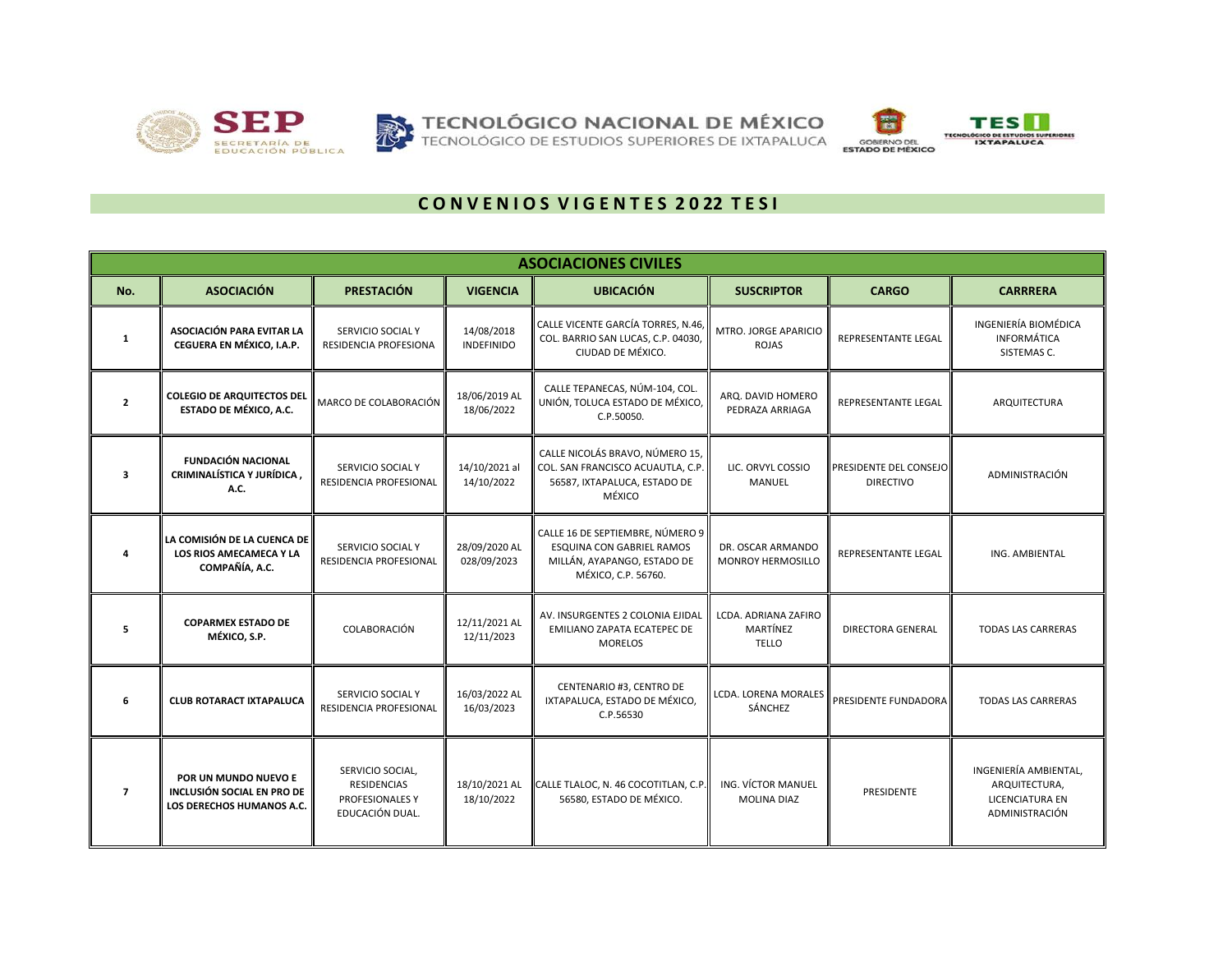





## **C O N V E N I O S V I G E N T E S 2 0 22 T E S I**

|                |                                                                                 |                                                                              |                                 | <b>ASOCIACIONES CIVILES</b>                                                                                                |                                                  |                                            |                                                                                    |
|----------------|---------------------------------------------------------------------------------|------------------------------------------------------------------------------|---------------------------------|----------------------------------------------------------------------------------------------------------------------------|--------------------------------------------------|--------------------------------------------|------------------------------------------------------------------------------------|
| No.            | <b>ASOCIACIÓN</b>                                                               | <b>PRESTACIÓN</b>                                                            | <b>VIGENCIA</b>                 | <b>UBICACIÓN</b>                                                                                                           | <b>SUSCRIPTOR</b>                                | <b>CARGO</b>                               | <b>CARRRERA</b>                                                                    |
| $\mathbf{1}$   | ASOCIACIÓN PARA EVITAR LA<br>CEGUERA EN MÉXICO, I.A.P.                          | SERVICIO SOCIAL Y<br>RESIDENCIA PROFESIONA                                   | 14/08/2018<br><b>INDEFINIDO</b> | CALLE VICENTE GARCÍA TORRES, N.46,<br>COL. BARRIO SAN LUCAS, C.P. 04030,<br>CIUDAD DE MÉXICO.                              | MTRO. JORGE APARICIO<br>ROJAS                    | REPRESENTANTE LEGAL                        | INGENIERÍA BIOMÉDICA<br><b>INFORMÁTICA</b><br>SISTEMAS C.                          |
| $\overline{2}$ | <b>COLEGIO DE ARQUITECTOS DEL</b><br>ESTADO DE MÉXICO, A.C.                     | MARCO DE COLABORACIÓN                                                        | 18/06/2019 AL<br>18/06/2022     | CALLE TEPANECAS, NÚM-104, COL.<br>UNIÓN, TOLUCA ESTADO DE MÉXICO,<br>C.P.50050.                                            | ARQ. DAVID HOMERO<br>PEDRAZA ARRIAGA             | <b>REPRESENTANTE LEGAL</b>                 | ARQUITECTURA                                                                       |
| 3              | <b>FUNDACIÓN NACIONAL</b><br>CRIMINALÍSTICA Y JURÍDICA,<br>A.C.                 | SERVICIO SOCIAL Y<br>RESIDENCIA PROFESIONAL                                  | 14/10/2021 al<br>14/10/2022     | CALLE NICOLÁS BRAVO, NÚMERO 15,<br>COL. SAN FRANCISCO ACUAUTLA, C.P.<br>56587, IXTAPALUCA, ESTADO DE<br>MÉXICO             | LIC. ORVYL COSSIO<br><b>MANUEL</b>               | PRESIDENTE DEL CONSEJO<br><b>DIRECTIVO</b> | ADMINISTRACIÓN                                                                     |
|                | LA COMISIÓN DE LA CUENCA DE<br><b>LOS RIOS AMECAMECA Y LA</b><br>COMPAÑÍA, A.C. | SERVICIO SOCIAL Y<br>RESIDENCIA PROFESIONAL                                  | 28/09/2020 AL<br>028/09/2023    | CALLE 16 DE SEPTIEMBRE, NÚMERO 9<br><b>ESQUINA CON GABRIEL RAMOS</b><br>MILLÁN, AYAPANGO, ESTADO DE<br>MÉXICO, C.P. 56760. | DR. OSCAR ARMANDO<br>MONROY HERMOSILLO           | <b>REPRESENTANTE LEGAL</b>                 | ING. AMBIENTAL                                                                     |
| 5              | <b>COPARMEX ESTADO DE</b><br>MÉXICO, S.P.                                       | COLABORACIÓN                                                                 | 12/11/2021 AL<br>12/11/2023     | AV. INSURGENTES 2 COLONIA EJIDAL<br>EMILIANO ZAPATA ECATEPEC DE<br><b>MORELOS</b>                                          | LCDA. ADRIANA ZAFIRO<br>MARTÍNEZ<br><b>TELLO</b> | <b>DIRECTORA GENERAL</b>                   | <b>TODAS LAS CARRERAS</b>                                                          |
| 6              | <b>CLUB ROTARACT IXTAPALUCA</b>                                                 | SERVICIO SOCIAL Y<br>RESIDENCIA PROFESIONAL                                  | 16/03/2022 AL<br>16/03/2023     | CENTENARIO #3, CENTRO DE<br>IXTAPALUCA, ESTADO DE MÉXICO,<br>C.P.56530                                                     | <b>LCDA. LORENA MORALES</b><br>SÁNCHEZ           | PRESIDENTE FUNDADORA                       | <b>TODAS LAS CARRERAS</b>                                                          |
| $\overline{7}$ | POR UN MUNDO NUEVO E<br>INCLUSIÓN SOCIAL EN PRO DE<br>LOS DERECHOS HUMANOS A.C. | SERVICIO SOCIAL,<br><b>RESIDENCIAS</b><br>PROFESIONALES Y<br>EDUCACIÓN DUAL. | 18/10/2021 AL<br>18/10/2022     | CALLE TLALOC, N. 46 COCOTITLAN, C.P<br>56580, ESTADO DE MÉXICO.                                                            | ING. VÍCTOR MANUEL<br><b>MOLINA DIAZ</b>         | <b>PRESIDENTE</b>                          | INGENIERÍA AMBIENTAL.<br>ARQUITECTURA,<br><b>LICENCIATURA EN</b><br>ADMINISTRACIÓN |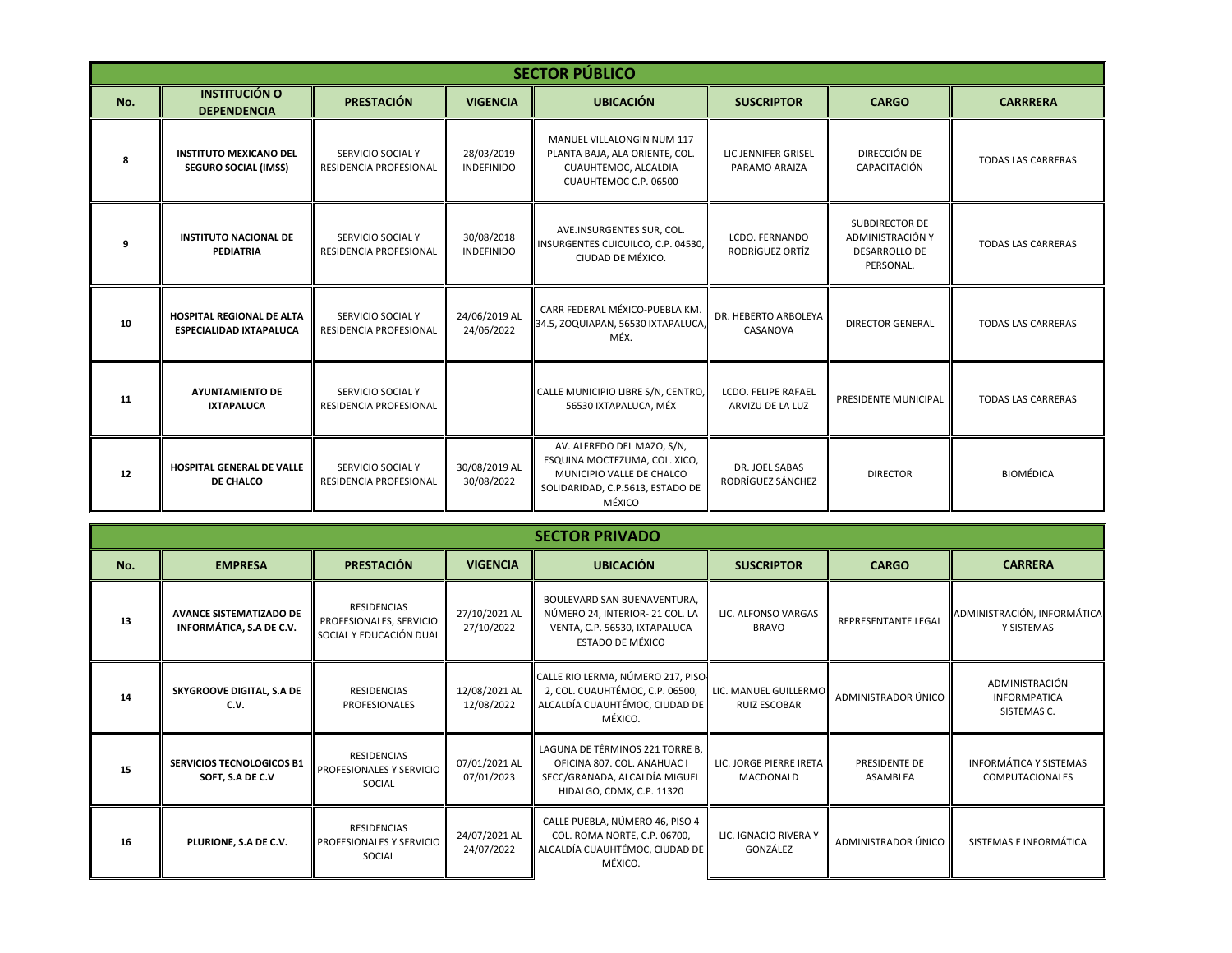|     | <b>SECTOR PÚBLICO</b>                                              |                                                    |                                 |                                                                                                                                        |                                         |                                                                                |                           |  |  |  |  |
|-----|--------------------------------------------------------------------|----------------------------------------------------|---------------------------------|----------------------------------------------------------------------------------------------------------------------------------------|-----------------------------------------|--------------------------------------------------------------------------------|---------------------------|--|--|--|--|
| No. | <b>INSTITUCIÓN O</b><br><b>DEPENDENCIA</b>                         | <b>PRESTACIÓN</b>                                  | <b>VIGENCIA</b>                 | <b>UBICACIÓN</b>                                                                                                                       | <b>SUSCRIPTOR</b>                       | <b>CARGO</b>                                                                   | <b>CARRRERA</b>           |  |  |  |  |
| -8  | <b>INSTITUTO MEXICANO DEL</b><br><b>SEGURO SOCIAL (IMSS)</b>       | SERVICIO SOCIAL Y<br>RESIDENCIA PROFESIONAL        | 28/03/2019<br><b>INDEFINIDO</b> | MANUEL VILLALONGIN NUM 117<br>PLANTA BAJA, ALA ORIENTE, COL.<br>CUAUHTEMOC, ALCALDIA<br>CUAUHTEMOC C.P. 06500                          | LIC JENNIFER GRISEL<br>PARAMO ARAIZA    | DIRECCIÓN DE<br>CAPACITACIÓN                                                   | <b>TODAS LAS CARRERAS</b> |  |  |  |  |
|     | <b>INSTITUTO NACIONAL DE</b><br><b>PEDIATRIA</b>                   | SERVICIO SOCIAL Y<br><b>RESIDENCIA PROFESIONAL</b> | 30/08/2018<br><b>INDEFINIDO</b> | AVE.INSURGENTES SUR, COL.<br>INSURGENTES CUICUILCO, C.P. 04530,<br>CIUDAD DE MÉXICO.                                                   | LCDO. FERNANDO<br>RODRÍGUEZ ORTÍZ       | <b>SUBDIRECTOR DE</b><br>ADMINISTRACIÓN Y<br><b>DESARROLLO DE</b><br>PERSONAL. | <b>TODAS LAS CARRERAS</b> |  |  |  |  |
| 10  | <b>HOSPITAL REGIONAL DE ALTA</b><br><b>ESPECIALIDAD IXTAPALUCA</b> | SERVICIO SOCIAL Y<br>RESIDENCIA PROFESIONAL        | 24/06/2019 AL<br>24/06/2022     | CARR FEDERAL MÉXICO-PUEBLA KM.<br>34.5, ZOQUIAPAN, 56530 IXTAPALUCA,<br>MÉX.                                                           | DR. HEBERTO ARBOLEYA<br>CASANOVA        | <b>DIRECTOR GENERAL</b>                                                        | <b>TODAS LAS CARRERAS</b> |  |  |  |  |
| 11  | <b>AYUNTAMIENTO DE</b><br><b>IXTAPALUCA</b>                        | SERVICIO SOCIAL Y<br><b>RESIDENCIA PROFESIONAL</b> |                                 | CALLE MUNICIPIO LIBRE S/N, CENTRO,<br>56530 IXTAPALUCA, MÉX                                                                            | LCDO. FELIPE RAFAEL<br>ARVIZU DE LA LUZ | PRESIDENTE MUNICIPAL                                                           | <b>TODAS LAS CARRERAS</b> |  |  |  |  |
| 12  | <b>HOSPITAL GENERAL DE VALLE</b><br>DE CHALCO                      | SERVICIO SOCIAL Y<br><b>RESIDENCIA PROFESIONAL</b> | 30/08/2019 AL<br>30/08/2022     | AV. ALFREDO DEL MAZO, S/N,<br>ESQUINA MOCTEZUMA, COL. XICO,<br>MUNICIPIO VALLE DE CHALCO<br>SOLIDARIDAD, C.P.5613, ESTADO DE<br>MÉXICO | DR. JOEL SABAS<br>RODRÍGUEZ SÁNCHEZ     | <b>DIRECTOR</b>                                                                | <b>BIOMÉDICA</b>          |  |  |  |  |

|     | <b>SECTOR PRIVADO</b>                                      |                                                                          |                             |                                                                                                                              |                                               |                                  |                                                         |  |  |  |  |
|-----|------------------------------------------------------------|--------------------------------------------------------------------------|-----------------------------|------------------------------------------------------------------------------------------------------------------------------|-----------------------------------------------|----------------------------------|---------------------------------------------------------|--|--|--|--|
| No. | <b>EMPRESA</b>                                             | <b>PRESTACIÓN</b>                                                        | <b>VIGENCIA</b>             | <b>UBICACIÓN</b>                                                                                                             | <b>SUSCRIPTOR</b>                             | <b>CARGO</b>                     | <b>CARRERA</b>                                          |  |  |  |  |
| 13  | <b>AVANCE SISTEMATIZADO DE</b><br>INFORMÁTICA, S.A DE C.V. | <b>RESIDENCIAS</b><br>PROFESIONALES, SERVICIO<br>SOCIAL Y EDUCACIÓN DUAL | 27/10/2021 AL<br>27/10/2022 | BOULEVARD SAN BUENAVENTURA,<br>NÚMERO 24, INTERIOR- 21 COL. LA<br>VENTA, C.P. 56530, IXTAPALUCA<br>ESTADO DE MÉXICO          | LIC. ALFONSO VARGAS<br><b>BRAVO</b>           | <b>REPRESENTANTE LEGAL</b>       | ADMINISTRACIÓN, INFORMÁTICA<br>Y SISTEMAS               |  |  |  |  |
| 14  | SKYGROOVE DIGITAL, S.A DE<br>C.V.                          | <b>RESIDENCIAS</b><br><b>PROFESIONALES</b>                               | 12/08/2021 AL<br>12/08/2022 | CALLE RIO LERMA, NÚMERO 217, PISO-<br>2, COL. CUAUHTÉMOC, C.P. 06500,<br>ALCALDÍA CUAUHTÉMOC, CIUDAD DE<br>MÉXICO.           | LIC. MANUEL GUILLERMO <br><b>RUIZ ESCOBAR</b> | ADMINISTRADOR ÚNICO              | ADMINISTRACIÓN<br><b>INFORMPATICA</b><br>SISTEMAS C.    |  |  |  |  |
| 15  | <b>SERVICIOS TECNOLOGICOS B1</b><br>SOFT, S.A DE C.V       | RESIDENCIAS<br>PROFESIONALES Y SERVICIO<br>SOCIAL                        | 07/01/2021 AL<br>07/01/2023 | LAGUNA DE TÉRMINOS 221 TORRE B.<br>OFICINA 807. COL. ANAHUAC I<br>SECC/GRANADA, ALCALDÍA MIGUEL<br>HIDALGO, CDMX, C.P. 11320 | LIC. JORGE PIERRE IRETA<br>MACDONALD          | PRESIDENTE DE<br><b>ASAMBLEA</b> | <b>INFORMÁTICA Y SISTEMAS</b><br><b>COMPUTACIONALES</b> |  |  |  |  |
| 16  | PLURIONE, S.A DE C.V.                                      | RESIDENCIAS<br>PROFESIONALES Y SERVICIO<br>SOCIAL                        | 24/07/2021 AL<br>24/07/2022 | CALLE PUEBLA, NÚMERO 46, PISO 4<br>COL. ROMA NORTE, C.P. 06700,<br>ALCALDÍA CUAUHTÉMOC, CIUDAD DE<br>MÉXICO.                 | LIC. IGNACIO RIVERA Y<br>GONZÁLEZ             | ADMINISTRADOR ÚNICO              | SISTEMAS E INFORMÁTICA                                  |  |  |  |  |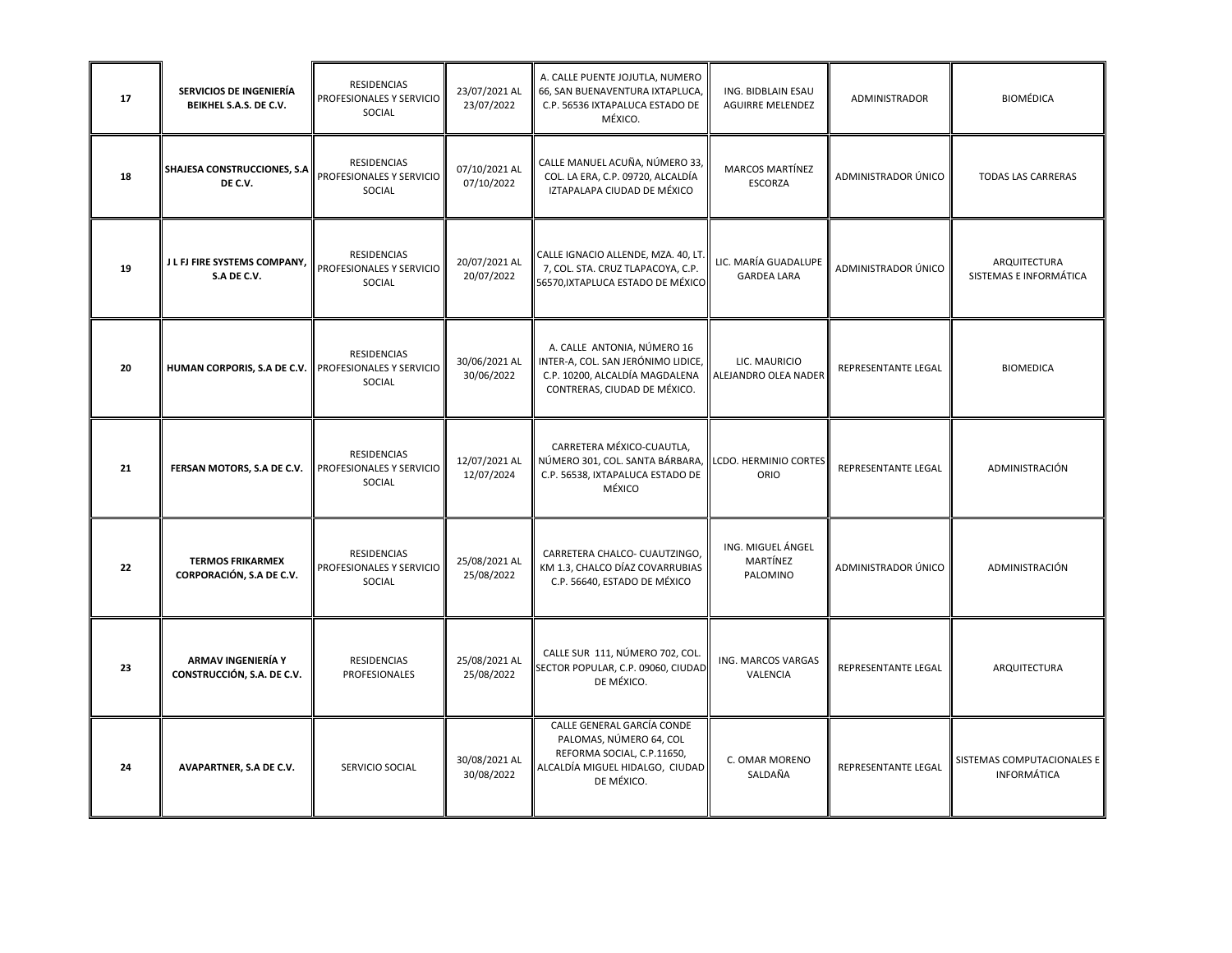| 17 | SERVICIOS DE INGENIERÍA<br>BEIKHEL S.A.S. DE C.V.   | RESIDENCIAS<br>PROFESIONALES Y SERVICIO<br>SOCIAL        | 23/07/2021 AL<br>23/07/2022 | A. CALLE PUENTE JOJUTLA, NUMERO<br>66, SAN BUENAVENTURA IXTAPLUCA,<br>C.P. 56536 IXTAPALUCA ESTADO DE<br>MÉXICO.                     | ING. BIDBLAIN ESAU<br><b>AGUIRRE MELENDEZ</b> | ADMINISTRADOR              | <b>BIOMÉDICA</b>                                 |
|----|-----------------------------------------------------|----------------------------------------------------------|-----------------------------|--------------------------------------------------------------------------------------------------------------------------------------|-----------------------------------------------|----------------------------|--------------------------------------------------|
| 18 | SHAJESA CONSTRUCCIONES, S.A<br>DE C.V.              | <b>RESIDENCIAS</b><br>PROFESIONALES Y SERVICIO<br>SOCIAL | 07/10/2021 AL<br>07/10/2022 | CALLE MANUEL ACUÑA, NÚMERO 33,<br>COL. LA ERA, C.P. 09720, ALCALDÍA<br>IZTAPALAPA CIUDAD DE MÉXICO                                   | <b>MARCOS MARTÍNEZ</b><br>ESCORZA             | ADMINISTRADOR ÚNICO        | <b>TODAS LAS CARRERAS</b>                        |
| 19 | J L FJ FIRE SYSTEMS COMPANY,<br>S.A DE C.V.         | RESIDENCIAS<br>PROFESIONALES Y SERVICIO<br>SOCIAL        | 20/07/2021 AL<br>20/07/2022 | CALLE IGNACIO ALLENDE, MZA. 40, LT.<br>7, COL. STA. CRUZ TLAPACOYA, C.P.<br>56570, IXTAPLUCA ESTADO DE MÉXICO                        | LIC. MARÍA GUADALUPE<br><b>GARDEA LARA</b>    | ADMINISTRADOR ÚNICO        | ARQUITECTURA<br>SISTEMAS E INFORMÁTICA           |
| 20 | HUMAN CORPORIS, S.A DE C.V.                         | RESIDENCIAS<br>PROFESIONALES Y SERVICIO<br>SOCIAL        | 30/06/2021 AL<br>30/06/2022 | A. CALLE ANTONIA, NÚMERO 16<br>INTER-A, COL. SAN JERÓNIMO LIDICE,<br>C.P. 10200, ALCALDÍA MAGDALENA<br>CONTRERAS, CIUDAD DE MÉXICO.  | LIC. MAURICIO<br>ALEJANDRO OLEA NADER         | <b>REPRESENTANTE LEGAL</b> | <b>BIOMEDICA</b>                                 |
| 21 | FERSAN MOTORS, S.A DE C.V.                          | RESIDENCIAS<br>PROFESIONALES Y SERVICIO<br>SOCIAL        | 12/07/2021 AL<br>12/07/2024 | CARRETERA MÉXICO-CUAUTLA,<br>NÚMERO 301, COL. SANTA BÁRBARA,<br>C.P. 56538, IXTAPALUCA ESTADO DE<br>MÉXICO                           | LCDO. HERMINIO CORTES<br>ORIO                 | REPRESENTANTE LEGAL        | ADMINISTRACIÓN                                   |
| 22 | <b>TERMOS FRIKARMEX</b><br>CORPORACIÓN, S.A DE C.V. | <b>RESIDENCIAS</b><br>PROFESIONALES Y SERVICIO<br>SOCIAL | 25/08/2021 AL<br>25/08/2022 | CARRETERA CHALCO- CUAUTZINGO,<br>KM 1.3, CHALCO DÍAZ COVARRUBIAS<br>C.P. 56640, ESTADO DE MÉXICO                                     | ING. MIGUEL ÁNGEL<br>MARTÍNEZ<br>PALOMINO     | ADMINISTRADOR ÚNICO        | ADMINISTRACIÓN                                   |
| 23 | ARMAV INGENIERÍA Y<br>CONSTRUCCIÓN, S.A. DE C.V.    | RESIDENCIAS<br>PROFESIONALES                             | 25/08/2021 AL<br>25/08/2022 | CALLE SUR 111, NÚMERO 702, COL.<br>SECTOR POPULAR, C.P. 09060, CIUDAD<br>DE MÉXICO.                                                  | ING. MARCOS VARGAS<br>VALENCIA                | REPRESENTANTE LEGAL        | ARQUITECTURA                                     |
| 24 | AVAPARTNER, S.A DE C.V.                             | SERVICIO SOCIAL                                          | 30/08/2021 AL<br>30/08/2022 | CALLE GENERAL GARCÍA CONDE<br>PALOMAS, NÚMERO 64, COL<br>REFORMA SOCIAL, C.P.11650,<br>ALCALDÍA MIGUEL HIDALGO, CIUDAD<br>DE MÉXICO. | C. OMAR MORENO<br>SALDAÑA                     | REPRESENTANTE LEGAL        | SISTEMAS COMPUTACIONALES E<br><b>INFORMÁTICA</b> |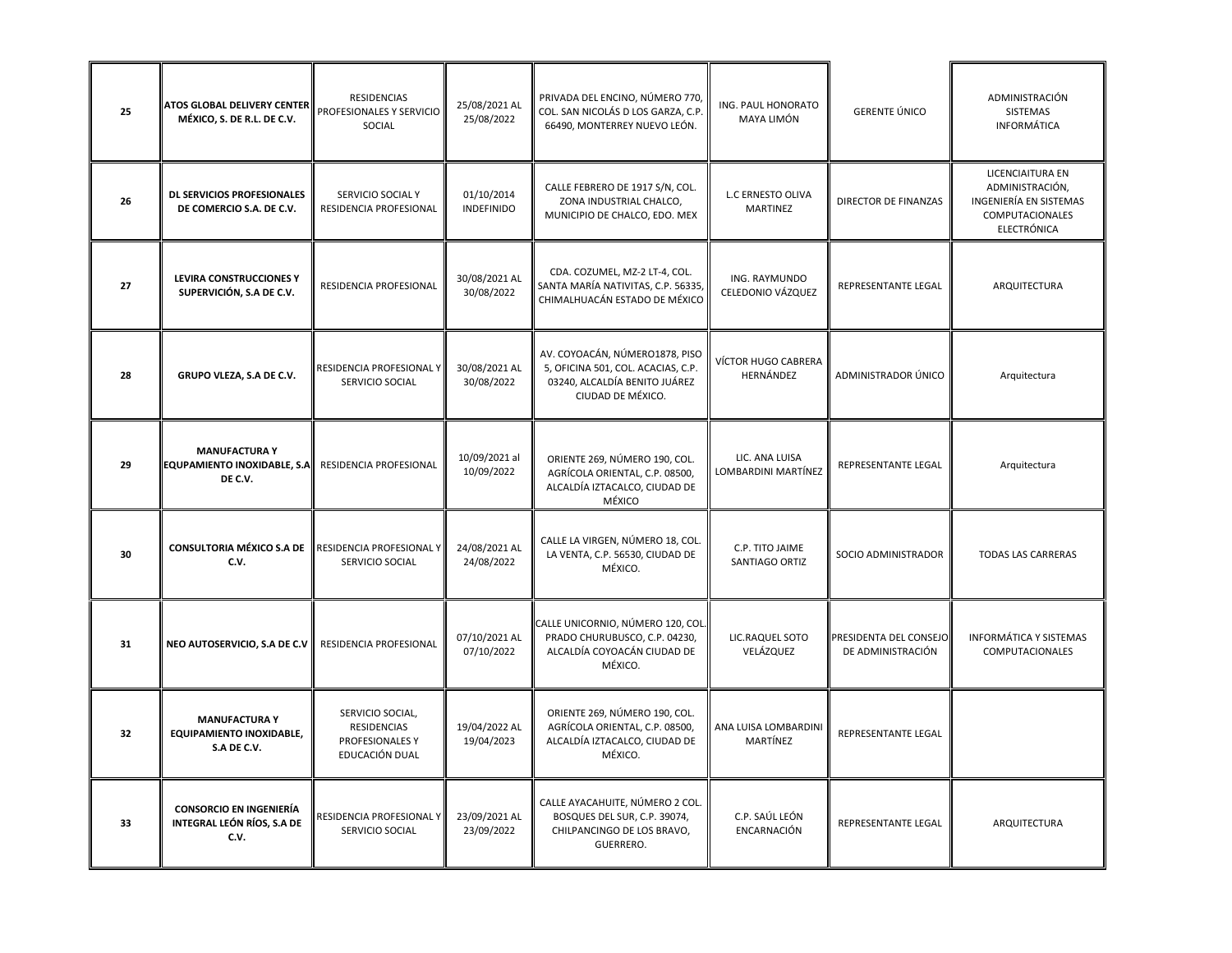| 25 | ATOS GLOBAL DELIVERY CENTER<br>MÉXICO, S. DE R.L. DE C.V.              | <b>RESIDENCIAS</b><br>PROFESIONALES Y SERVICIO<br>SOCIAL             | 25/08/2021 AL<br>25/08/2022     | PRIVADA DEL ENCINO, NÚMERO 770<br>COL. SAN NICOLÁS D LOS GARZA, C.P.<br>66490, MONTERREY NUEVO LEÓN.                       | ING. PAUL HONORATO<br>MAYA LIMÓN      | <b>GERENTE ÚNICO</b>                        | ADMINISTRACIÓN<br><b>SISTEMAS</b><br>INFORMÁTICA                                                       |
|----|------------------------------------------------------------------------|----------------------------------------------------------------------|---------------------------------|----------------------------------------------------------------------------------------------------------------------------|---------------------------------------|---------------------------------------------|--------------------------------------------------------------------------------------------------------|
| 26 | DL SERVICIOS PROFESIONALES<br>DE COMERCIO S.A. DE C.V.                 | SERVICIO SOCIAL Y<br>RESIDENCIA PROFESIONAL                          | 01/10/2014<br><b>INDEFINIDO</b> | CALLE FEBRERO DE 1917 S/N, COL.<br>ZONA INDUSTRIAL CHALCO,<br>MUNICIPIO DE CHALCO, EDO. MEX                                | <b>L.C ERNESTO OLIVA</b><br>MARTINEZ  | <b>DIRECTOR DE FINANZAS</b>                 | LICENCIAITURA EN<br>ADMINISTRACIÓN,<br>INGENIERÍA EN SISTEMAS<br><b>COMPUTACIONALES</b><br>ELECTRÓNICA |
| 27 | LEVIRA CONSTRUCCIONES Y<br>SUPERVICIÓN, S.A DE C.V.                    | RESIDENCIA PROFESIONAL                                               | 30/08/2021 AL<br>30/08/2022     | CDA. COZUMEL, MZ-2 LT-4, COL.<br>SANTA MARÍA NATIVITAS, C.P. 56335,<br>CHIMALHUACÁN ESTADO DE MÉXICO                       | ING. RAYMUNDO<br>CELEDONIO VÁZQUEZ    | REPRESENTANTE LEGAL                         | ARQUITECTURA                                                                                           |
| 28 | GRUPO VLEZA, S.A DE C.V.                                               | RESIDENCIA PROFESIONAL Y<br>SERVICIO SOCIAL                          | 30/08/2021 AL<br>30/08/2022     | AV. COYOACÁN, NÚMERO1878, PISO<br>5, OFICINA 501, COL. ACACIAS, C.P.<br>03240, ALCALDÍA BENITO JUÁREZ<br>CIUDAD DE MÉXICO. | VÍCTOR HUGO CABRERA<br>HERNÁNDEZ      | ADMINISTRADOR ÚNICO                         | Arquitectura                                                                                           |
| 29 | <b>MANUFACTURA Y</b><br><b>EQUPAMIENTO INOXIDABLE, S.A</b><br>DE C.V.  | RESIDENCIA PROFESIONAL                                               | 10/09/2021 al<br>10/09/2022     | ORIENTE 269, NÚMERO 190, COL.<br>AGRÍCOLA ORIENTAL, C.P. 08500,<br>ALCALDÍA IZTACALCO, CIUDAD DE<br>MÉXICO                 | LIC. ANA LUISA<br>LOMBARDINI MARTÍNEZ | REPRESENTANTE LEGAL                         | Arquitectura                                                                                           |
| 30 | <b>CONSULTORIA MÉXICO S.A DE</b><br>C.V.                               | RESIDENCIA PROFESIONAL Y<br>SERVICIO SOCIAL                          | 24/08/2021 AL<br>24/08/2022     | CALLE LA VIRGEN, NÚMERO 18, COL.<br>LA VENTA, C.P. 56530, CIUDAD DE<br>MÉXICO.                                             | C.P. TITO JAIME<br>SANTIAGO ORTIZ     | SOCIO ADMINISTRADOR                         | <b>TODAS LAS CARRERAS</b>                                                                              |
| 31 | NEO AUTOSERVICIO, S.A DE C.V                                           | RESIDENCIA PROFESIONAL                                               | 07/10/2021 AL<br>07/10/2022     | CALLE UNICORNIO, NÚMERO 120, COL.<br>PRADO CHURUBUSCO, C.P. 04230,<br>ALCALDÍA COYOACÁN CIUDAD DE<br>MÉXICO.               | LIC.RAQUEL SOTO<br>VELÁZQUEZ          | PRESIDENTA DEL CONSEJO<br>DE ADMINISTRACIÓN | <b>INFORMÁTICA Y SISTEMAS</b><br>COMPUTACIONALES                                                       |
| 32 | <b>MANUFACTURA Y</b><br><b>EQUIPAMIENTO INOXIDABLE,</b><br>S.A DE C.V. | SERVICIO SOCIAL,<br>RESIDENCIAS<br>PROFESIONALES Y<br>EDUCACIÓN DUAL | 19/04/2022 AL<br>19/04/2023     | ORIENTE 269, NÚMERO 190, COL.<br>AGRÍCOLA ORIENTAL, C.P. 08500,<br>ALCALDÍA IZTACALCO, CIUDAD DE<br>MÉXICO.                | ANA LUISA LOMBARDINI<br>MARTÍNEZ      | REPRESENTANTE LEGAL                         |                                                                                                        |
| 33 | <b>CONSORCIO EN INGENIERÍA</b><br>INTEGRAL LEÓN RÍOS, S.A DE<br>C.V.   | RESIDENCIA PROFESIONAL Y<br>SERVICIO SOCIAL                          | 23/09/2021 AL<br>23/09/2022     | CALLE AYACAHUITE, NÚMERO 2 COL.<br>BOSQUES DEL SUR, C.P. 39074,<br>CHILPANCINGO DE LOS BRAVO,<br>GUERRERO.                 | C.P. SAÚL LEÓN<br>ENCARNACIÓN         | REPRESENTANTE LEGAL                         | ARQUITECTURA                                                                                           |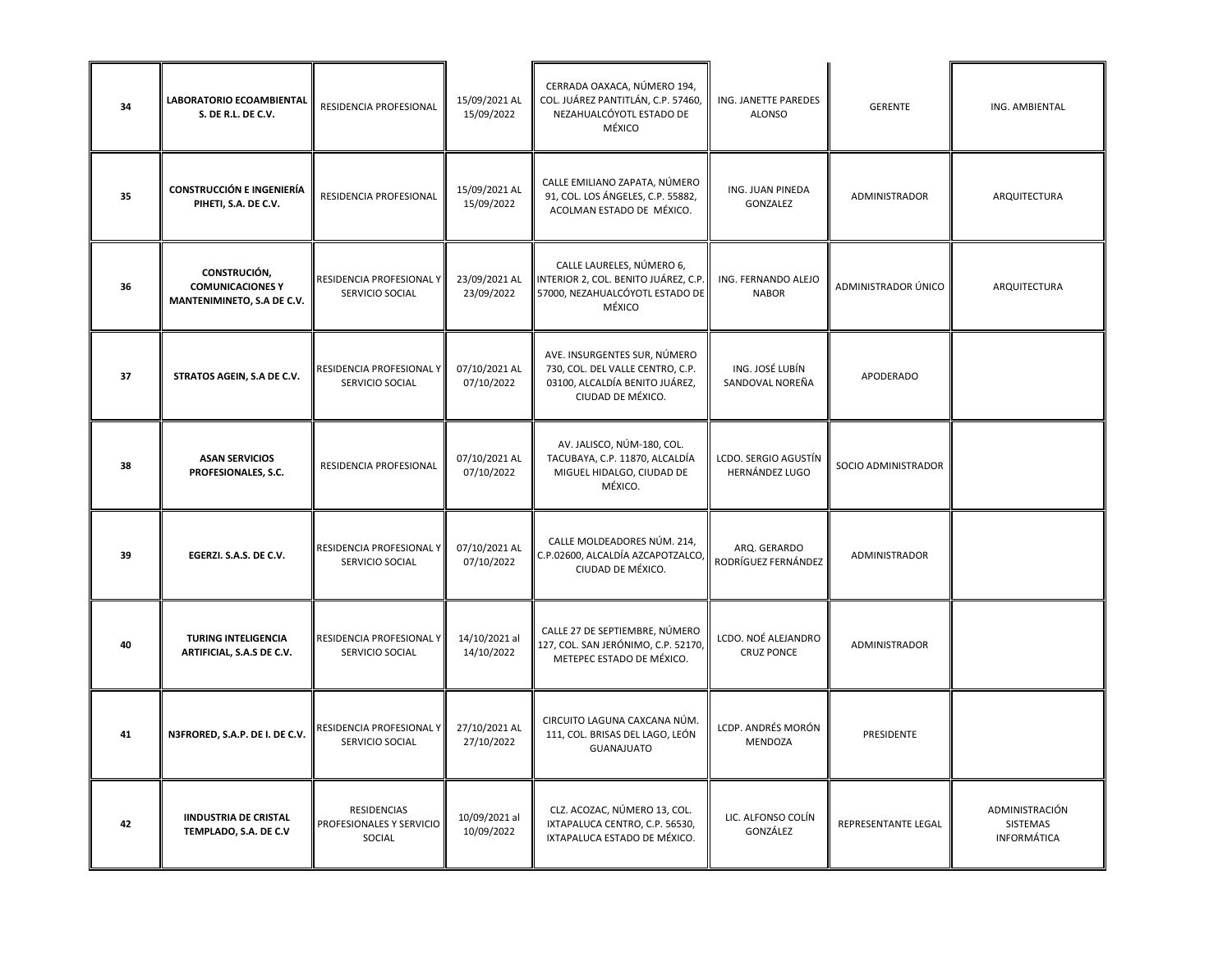| 34 | LABORATORIO ECOAMBIENTAL<br>S. DE R.L. DE C.V.                        | <b>RESIDENCIA PROFESIONAL</b>                     | 15/09/2021 AL<br>15/09/2022 | CERRADA OAXACA, NÚMERO 194,<br>COL. JUÁREZ PANTITLÁN, C.P. 57460,<br>NEZAHUALCÓYOTL ESTADO DE<br>MÉXICO                 | ING. JANETTE PAREDES<br><b>ALONSO</b>    | <b>GERENTE</b>       | ING. AMBIENTAL                            |
|----|-----------------------------------------------------------------------|---------------------------------------------------|-----------------------------|-------------------------------------------------------------------------------------------------------------------------|------------------------------------------|----------------------|-------------------------------------------|
| 35 | <b>CONSTRUCCIÓN E INGENIERÍA</b><br>PIHETI, S.A. DE C.V.              | RESIDENCIA PROFESIONAL                            | 15/09/2021 AL<br>15/09/2022 | CALLE EMILIANO ZAPATA, NÚMERO<br>91, COL. LOS ÁNGELES, C.P. 55882,<br>ACOLMAN ESTADO DE MÉXICO.                         | ING. JUAN PINEDA<br>GONZALEZ             | ADMINISTRADOR        | ARQUITECTURA                              |
| 36 | CONSTRUCIÓN,<br><b>COMUNICACIONES Y</b><br>MANTENIMINETO, S.A DE C.V. | RESIDENCIA PROFESIONAL Y<br>SERVICIO SOCIAL       | 23/09/2021 AL<br>23/09/2022 | CALLE LAURELES, NÚMERO 6,<br>INTERIOR 2, COL. BENITO JUÁREZ, C.P.<br>57000, NEZAHUALCÓYOTL ESTADO DE<br>MÉXICO          | ING. FERNANDO ALEJO<br><b>NABOR</b>      | ADMINISTRADOR ÚNICO  | ARQUITECTURA                              |
| 37 | STRATOS AGEIN, S.A DE C.V.                                            | RESIDENCIA PROFESIONAL Y<br>SERVICIO SOCIAL       | 07/10/2021 AL<br>07/10/2022 | AVE. INSURGENTES SUR, NÚMERO<br>730, COL. DEL VALLE CENTRO, C.P.<br>03100, ALCALDÍA BENITO JUÁREZ,<br>CIUDAD DE MÉXICO. | ING. JOSÉ LUBÍN<br>SANDOVAL NOREÑA       | APODERADO            |                                           |
| 38 | <b>ASAN SERVICIOS</b><br>PROFESIONALES, S.C.                          | <b>RESIDENCIA PROFESIONAL</b>                     | 07/10/2021 AL<br>07/10/2022 | AV. JALISCO, NÚM-180, COL.<br>TACUBAYA, C.P. 11870, ALCALDÍA<br>MIGUEL HIDALGO, CIUDAD DE<br>MÉXICO.                    | LCDO. SERGIO AGUSTÍN<br>HERNÁNDEZ LUGO   | SOCIO ADMINISTRADOR  |                                           |
| 39 | EGERZI. S.A.S. DE C.V.                                                | RESIDENCIA PROFESIONAL Y<br>SERVICIO SOCIAL       | 07/10/2021 AL<br>07/10/2022 | CALLE MOLDEADORES NÚM. 214,<br>C.P.02600, ALCALDÍA AZCAPOTZALCO,<br>CIUDAD DE MÉXICO.                                   | ARQ. GERARDO<br>RODRÍGUEZ FERNÁNDEZ      | <b>ADMINISTRADOR</b> |                                           |
| 40 | <b>TURING INTELIGENCIA</b><br>ARTIFICIAL, S.A.S DE C.V.               | RESIDENCIA PROFESIONAL Y<br>SERVICIO SOCIAL       | 14/10/2021 al<br>14/10/2022 | CALLE 27 DE SEPTIEMBRE, NÚMERO<br>127, COL. SAN JERÓNIMO, C.P. 52170,<br>METEPEC ESTADO DE MÉXICO.                      | LCDO. NOÉ ALEJANDRO<br><b>CRUZ PONCE</b> | ADMINISTRADOR        |                                           |
| 41 | N3FRORED, S.A.P. DE I. DE C.V.                                        | RESIDENCIA PROFESIONAL Y<br>SERVICIO SOCIAL       | 27/10/2021 AL<br>27/10/2022 | CIRCUITO LAGUNA CAXCANA NÚM.<br>111, COL. BRISAS DEL LAGO, LEÓN<br>GUANAJUATO                                           | LCDP. ANDRÉS MORÓN<br>MENDOZA            | PRESIDENTE           |                                           |
| 42 | <b>IINDUSTRIA DE CRISTAL</b><br>TEMPLADO, S.A. DE C.V                 | RESIDENCIAS<br>PROFESIONALES Y SERVICIO<br>SOCIAL | 10/09/2021 al<br>10/09/2022 | CLZ. ACOZAC, NÚMERO 13, COL.<br>IXTAPALUCA CENTRO, C.P. 56530,<br>IXTAPALUCA ESTADO DE MÉXICO.                          | LIC. ALFONSO COLÍN<br>GONZÁLEZ           | REPRESENTANTE LEGAL  | ADMINISTRACIÓN<br>SISTEMAS<br>INFORMÁTICA |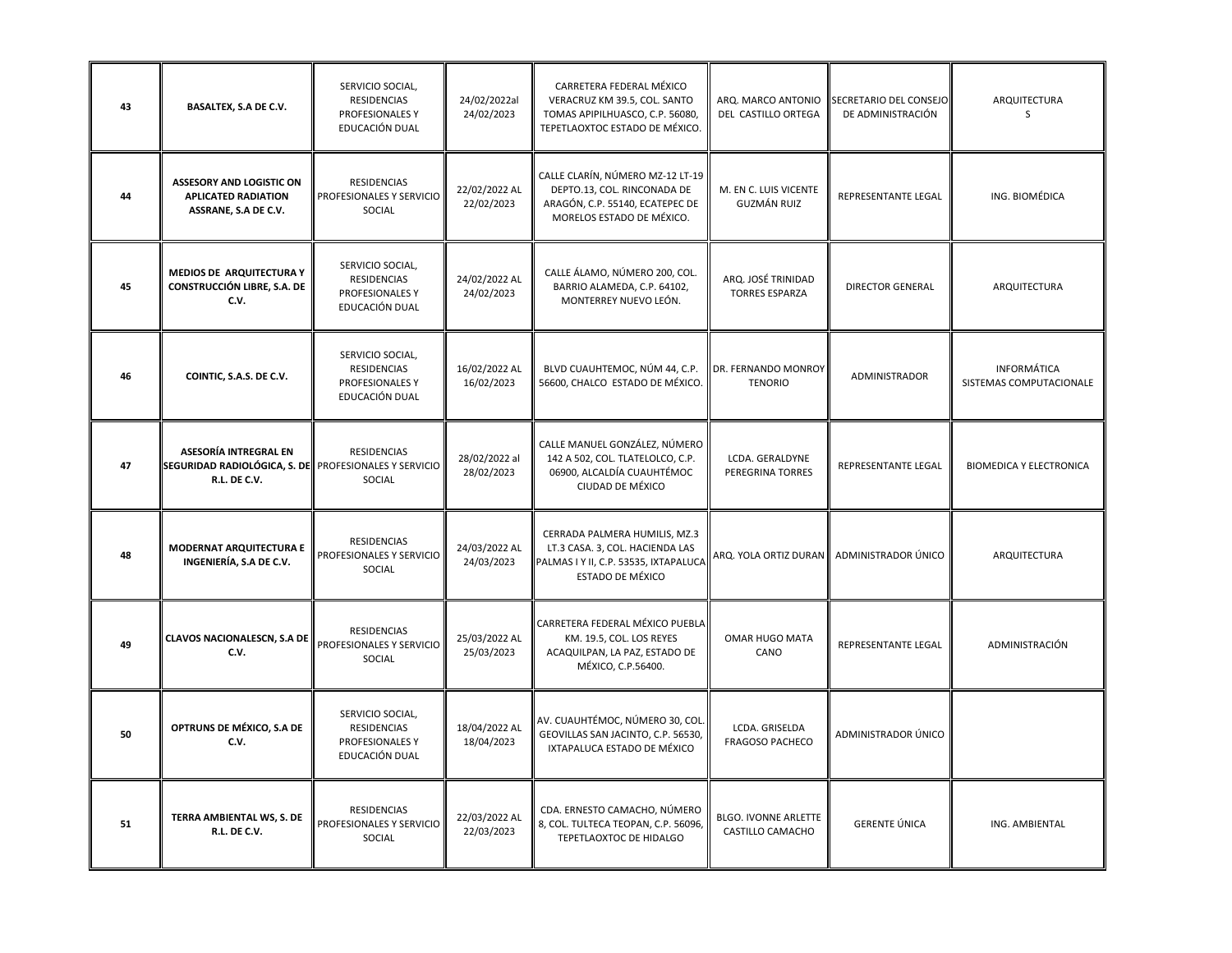| 43 | <b>BASALTEX, S.A DE C.V.</b>                                                                   | SERVICIO SOCIAL,<br>RESIDENCIAS<br>PROFESIONALES Y<br>EDUCACIÓN DUAL | 24/02/2022al<br>24/02/2023  | CARRETERA FEDERAL MÉXICO<br>VERACRUZ KM 39.5, COL. SANTO<br>TOMAS APIPILHUASCO, C.P. 56080,<br>TEPETLAOXTOC ESTADO DE MÉXICO.        | ARQ. MARCO ANTONIO<br>DEL CASTILLO ORTEGA       | SECRETARIO DEL CONSEJO<br>DE ADMINISTRACIÓN | ARQUITECTURA<br><sub>S</sub>           |
|----|------------------------------------------------------------------------------------------------|----------------------------------------------------------------------|-----------------------------|--------------------------------------------------------------------------------------------------------------------------------------|-------------------------------------------------|---------------------------------------------|----------------------------------------|
| 44 | <b>ASSESORY AND LOGISTIC ON</b><br><b>APLICATED RADIATION</b><br>ASSRANE, S.A DE C.V.          | <b>RESIDENCIAS</b><br>PROFESIONALES Y SERVICIO<br>SOCIAL             | 22/02/2022 AL<br>22/02/2023 | CALLE CLARÍN, NÚMERO MZ-12 LT-19<br>DEPTO.13, COL. RINCONADA DE<br>ARAGÓN, C.P. 55140, ECATEPEC DE<br>MORELOS ESTADO DE MÉXICO.      | M. EN C. LUIS VICENTE<br>GUZMÁN RUIZ            | REPRESENTANTE LEGAL                         | ING. BIOMÉDICA                         |
| 45 | <b>MEDIOS DE ARQUITECTURA Y</b><br>CONSTRUCCIÓN LIBRE, S.A. DE<br>C.V.                         | SERVICIO SOCIAL,<br>RESIDENCIAS<br>PROFESIONALES Y<br>EDUCACIÓN DUAL | 24/02/2022 AL<br>24/02/2023 | CALLE ÁLAMO, NÚMERO 200, COL.<br>BARRIO ALAMEDA, C.P. 64102,<br>MONTERREY NUEVO LEÓN.                                                | ARQ. JOSÉ TRINIDAD<br><b>TORRES ESPARZA</b>     | <b>DIRECTOR GENERAL</b>                     | ARQUITECTURA                           |
| 46 | COINTIC, S.A.S. DE C.V.                                                                        | SERVICIO SOCIAL,<br>RESIDENCIAS<br>PROFESIONALES Y<br>EDUCACIÓN DUAL | 16/02/2022 AL<br>16/02/2023 | BLVD CUAUHTEMOC, NÚM 44, C.P.<br>56600, CHALCO ESTADO DE MÉXICO.                                                                     | DR. FERNANDO MONROY<br><b>TENORIO</b>           | <b>ADMINISTRADOR</b>                        | INFORMÁTICA<br>SISTEMAS COMPUTACIONALE |
| 47 | ASESORÍA INTREGRAL EN<br>SEGURIDAD RADIOLÓGICA, S. DE PROFESIONALES Y SERVICIO<br>R.L. DE C.V. | RESIDENCIAS<br>SOCIAL                                                | 28/02/2022 al<br>28/02/2023 | CALLE MANUEL GONZÁLEZ, NÚMERO<br>142 A 502, COL. TLATELOLCO, C.P.<br>06900, ALCALDÍA CUAUHTÉMOC<br>CIUDAD DE MÉXICO                  | LCDA. GERALDYNE<br>PEREGRINA TORRES             | <b>REPRESENTANTE LEGAL</b>                  | <b>BIOMEDICA Y ELECTRONICA</b>         |
| 48 | <b>MODERNAT ARQUITECTURA E</b><br>INGENIERÍA, S.A DE C.V.                                      | <b>RESIDENCIAS</b><br>PROFESIONALES Y SERVICIO<br>SOCIAL             | 24/03/2022 AL<br>24/03/2023 | CERRADA PALMERA HUMILIS, MZ.3<br>LT.3 CASA. 3, COL. HACIENDA LAS<br>PALMAS I Y II, C.P. 53535, IXTAPALUCA<br><b>ESTADO DE MÉXICO</b> |                                                 | ARQ. YOLA ORTIZ DURAN ADMINISTRADOR ÚNICO   | ARQUITECTURA                           |
| 49 | <b>CLAVOS NACIONALESCN, S.A DE</b><br>C.V.                                                     | <b>RESIDENCIAS</b><br>PROFESIONALES Y SERVICIO<br>SOCIAL             | 25/03/2022 AL<br>25/03/2023 | CARRETERA FEDERAL MÉXICO PUEBLA<br>KM. 19.5, COL. LOS REYES<br>ACAQUILPAN, LA PAZ, ESTADO DE<br>MÉXICO, C.P.56400.                   | <b>OMAR HUGO MATA</b><br>CANO                   | REPRESENTANTE LEGAL                         | ADMINISTRACIÓN                         |
| 50 | OPTRUNS DE MÉXICO, S.A DE<br>C.V.                                                              | SERVICIO SOCIAL,<br>RESIDENCIAS<br>PROFESIONALES Y<br>EDUCACIÓN DUAL | 18/04/2022 AL<br>18/04/2023 | AV. CUAUHTÉMOC, NÚMERO 30, COL.<br>GEOVILLAS SAN JACINTO, C.P. 56530,<br>IXTAPALUCA ESTADO DE MÉXICO                                 | LCDA. GRISELDA<br><b>FRAGOSO PACHECO</b>        | ADMINISTRADOR ÚNICO                         |                                        |
| 51 | TERRA AMBIENTAL WS, S. DE<br>R.L. DE C.V.                                                      | RESIDENCIAS<br>PROFESIONALES Y SERVICIO<br>SOCIAL                    | 22/03/2022 AL<br>22/03/2023 | CDA. ERNESTO CAMACHO, NÚMERO<br>8, COL. TULTECA TEOPAN, C.P. 56096,<br>TEPETLAOXTOC DE HIDALGO                                       | <b>BLGO. IVONNE ARLETTE</b><br>CASTILLO CAMACHO | <b>GERENTE ÚNICA</b>                        | ING. AMBIENTAL                         |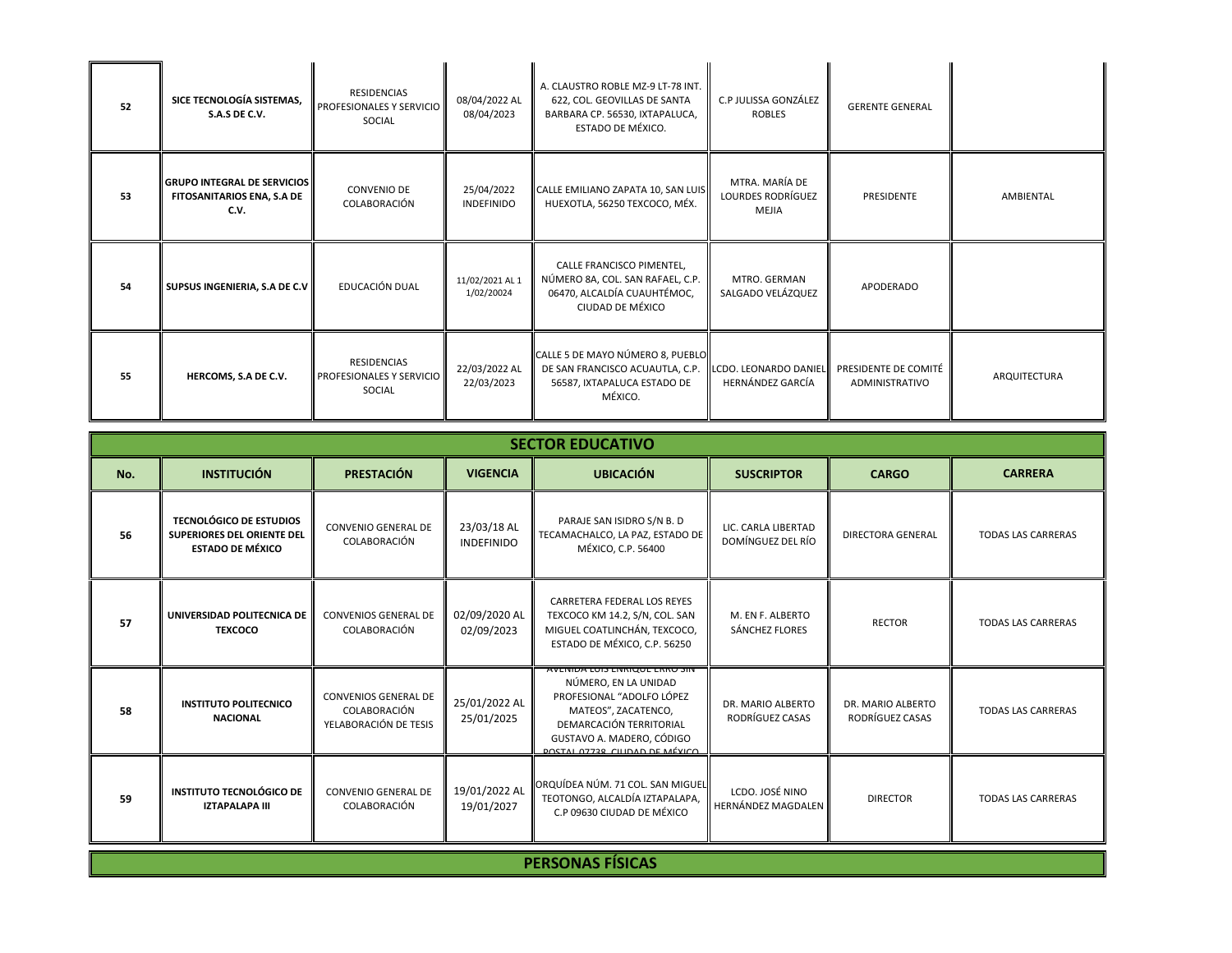| 52 | SICE TECNOLOGÍA SISTEMAS,<br>S.A.S DE C.V.                               | RESIDENCIAS<br>PROFESIONALES Y SERVICIO<br>SOCIAL | 08/04/2022 AL<br>08/04/2023     | A. CLAUSTRO ROBLE MZ-9 LT-78 INT.<br>622, COL. GEOVILLAS DE SANTA<br>BARBARA CP. 56530, IXTAPALUCA,<br>ESTADO DE MÉXICO. | C.P JULISSA GONZÁLEZ<br><b>ROBLES</b>        | <b>GERENTE GENERAL</b>                 |              |
|----|--------------------------------------------------------------------------|---------------------------------------------------|---------------------------------|--------------------------------------------------------------------------------------------------------------------------|----------------------------------------------|----------------------------------------|--------------|
| 53 | <b>GRUPO INTEGRAL DE SERVICIOS</b><br>FITOSANITARIOS ENA, S.A DE<br>C.V. | CONVENIO DE<br>COLABORACIÓN                       | 25/04/2022<br><b>INDEFINIDO</b> | CALLE EMILIANO ZAPATA 10, SAN LUIS<br>HUEXOTLA, 56250 TEXCOCO, MÉX.                                                      | MTRA. MARÍA DE<br>LOURDES RODRÍGUEZ<br>MEJIA | PRESIDENTE                             | AMBIENTAL    |
| 54 | SUPSUS INGENIERIA, S.A DE C.V                                            | EDUCACIÓN DUAL                                    | 11/02/2021 AL 1<br>1/02/20024   | CALLE FRANCISCO PIMENTEL,<br>NÚMERO 8A, COL. SAN RAFAEL, C.P.<br>06470, ALCALDÍA CUAUHTÉMOC,<br>CIUDAD DE MÉXICO         | MTRO. GERMAN<br>SALGADO VELÁZQUEZ            | <b>APODERADO</b>                       |              |
| 55 | HERCOMS, S.A DE C.V.                                                     | RESIDENCIAS<br>PROFESIONALES Y SERVICIO<br>SOCIAL | 22/03/2022 AL<br>22/03/2023     | CALLE 5 DE MAYO NÚMERO 8, PUEBLO<br>DE SAN FRANCISCO ACUAUTLA, C.P.<br>56587, IXTAPALUCA ESTADO DE<br>MÉXICO.            | LCDO. LEONARDO DANIEL<br>HERNÁNDEZ GARCÍA    | PRESIDENTE DE COMITÉ<br>ADMINISTRATIVO | ARQUITECTURA |

- IL

|     | <b>SECTOR EDUCATIVO</b>                                                                        |                                                                      |                                  |                                                                                                                                                                                                                 |                                           |                                      |                           |  |  |  |  |
|-----|------------------------------------------------------------------------------------------------|----------------------------------------------------------------------|----------------------------------|-----------------------------------------------------------------------------------------------------------------------------------------------------------------------------------------------------------------|-------------------------------------------|--------------------------------------|---------------------------|--|--|--|--|
| No. | <b>INSTITUCIÓN</b>                                                                             | <b>PRESTACIÓN</b>                                                    | <b>VIGENCIA</b>                  | <b>UBICACIÓN</b>                                                                                                                                                                                                | <b>SUSCRIPTOR</b>                         | <b>CARGO</b>                         | <b>CARRERA</b>            |  |  |  |  |
| 56  | <b>TECNOLÓGICO DE ESTUDIOS</b><br><b>SUPERIORES DEL ORIENTE DEL</b><br><b>ESTADO DE MÉXICO</b> | CONVENIO GENERAL DE<br>COLABORACIÓN                                  | 23/03/18 AL<br><b>INDEFINIDO</b> | PARAJE SAN ISIDRO S/N B. D<br>TECAMACHALCO, LA PAZ, ESTADO DE<br>MÉXICO, C.P. 56400                                                                                                                             | LIC. CARLA LIBERTAD<br>DOMÍNGUEZ DEL RÍO  | <b>DIRECTORA GENERAL</b>             | <b>TODAS LAS CARRERAS</b> |  |  |  |  |
| 57  | UNIVERSIDAD POLITECNICA DE<br><b>TEXCOCO</b>                                                   | <b>CONVENIOS GENERAL DE</b><br>COLABORACIÓN                          | 02/09/2020 AL<br>02/09/2023      | CARRETERA FEDERAL LOS REYES<br>TEXCOCO KM 14.2, S/N, COL. SAN<br>MIGUEL COATLINCHÁN, TEXCOCO,<br>ESTADO DE MÉXICO, C.P. 56250                                                                                   | M. EN F. ALBERTO<br><b>SÁNCHEZ FLORES</b> | <b>RECTOR</b>                        | <b>TODAS LAS CARRERAS</b> |  |  |  |  |
| 58  | <b>INSTITUTO POLITECNICO</b><br><b>NACIONAL</b>                                                | <b>CONVENIOS GENERAL DE</b><br>COLABORACIÓN<br>YELABORACIÓN DE TESIS | 25/01/2022 AL<br>25/01/2025      | <b>AVENIDA LUIS ENRIQUE ERRO SIN</b><br>NÚMERO, EN LA UNIDAD<br>PROFESIONAL "ADOLFO LÓPEZ<br>MATEOS", ZACATENCO,<br>DEMARCACIÓN TERRITORIAL<br>GUSTAVO A. MADERO, CÓDIGO<br><b>DOCTAL OTTO CULDAD DE MÉVICO</b> | DR. MARIO ALBERTO<br>RODRÍGUEZ CASAS      | DR. MARIO ALBERTO<br>RODRÍGUEZ CASAS | <b>TODAS LAS CARRERAS</b> |  |  |  |  |
| 59  | <b>INSTITUTO TECNOLÓGICO DE</b><br><b>IZTAPALAPA III</b>                                       | <b>CONVENIO GENERAL DE</b><br>COLABORACIÓN                           | 19/01/2022 AL<br>19/01/2027      | ORQUÍDEA NÚM. 71 COL. SAN MIGUEL<br>TEOTONGO, ALCALDÍA IZTAPALAPA,<br>C.P 09630 CIUDAD DE MÉXICO                                                                                                                | LCDO. JOSÉ NINO<br>HERNÁNDEZ MAGDALEN     | <b>DIRECTOR</b>                      | <b>TODAS LAS CARRERAS</b> |  |  |  |  |
|     |                                                                                                |                                                                      |                                  | <b>PERSONAS FÍSICAS</b>                                                                                                                                                                                         |                                           |                                      |                           |  |  |  |  |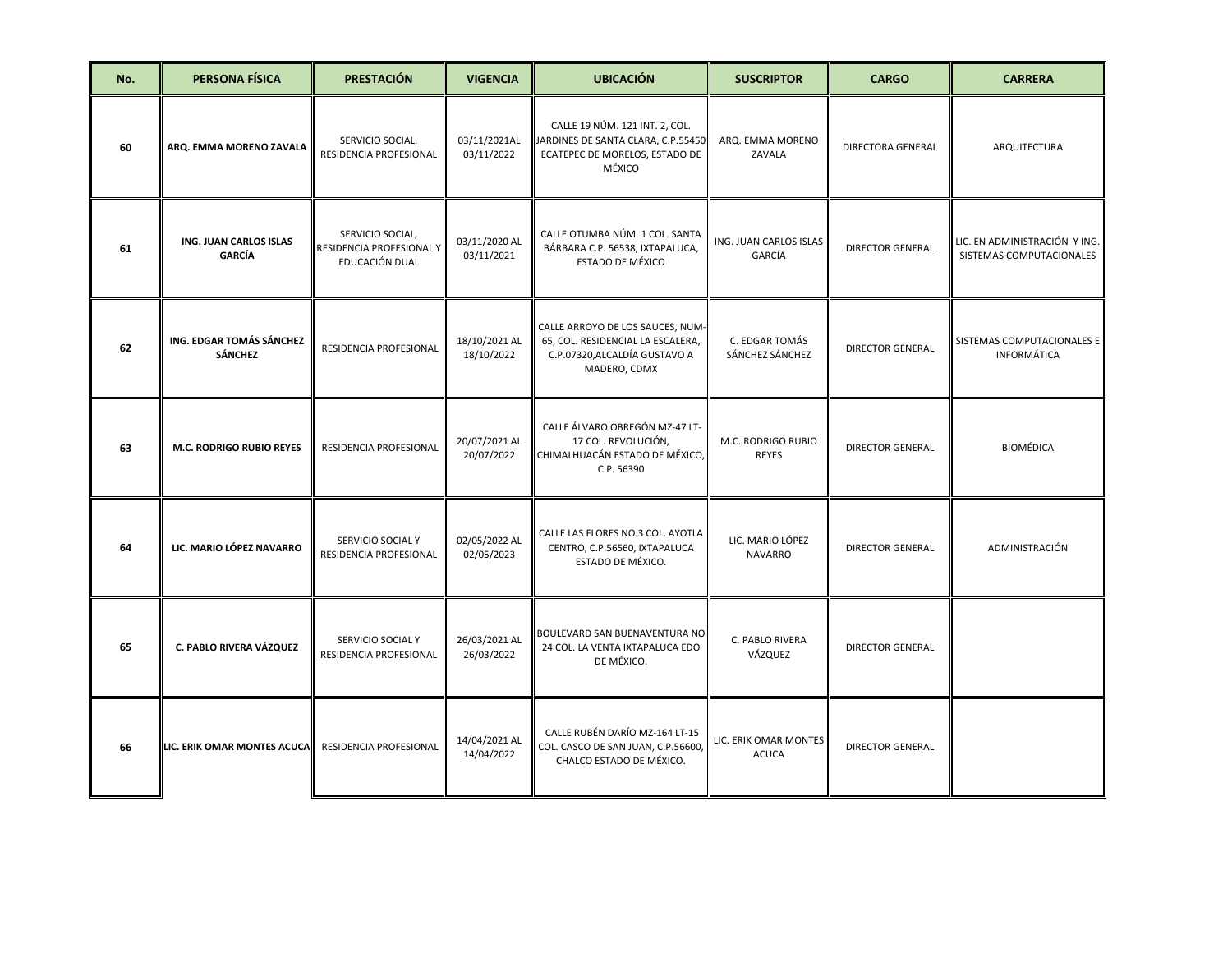| No. | <b>PERSONA FÍSICA</b>                      | <b>PRESTACIÓN</b>                                              | <b>VIGENCIA</b>             | <b>UBICACIÓN</b>                                                                                                       | <b>SUSCRIPTOR</b>                     | <b>CARGO</b>             | <b>CARRERA</b>                                            |
|-----|--------------------------------------------|----------------------------------------------------------------|-----------------------------|------------------------------------------------------------------------------------------------------------------------|---------------------------------------|--------------------------|-----------------------------------------------------------|
| 60  | ARQ. EMMA MORENO ZAVALA                    | SERVICIO SOCIAL,<br>RESIDENCIA PROFESIONAL                     | 03/11/2021AL<br>03/11/2022  | CALLE 19 NÚM. 121 INT. 2, COL.<br>JARDINES DE SANTA CLARA, C.P.55450<br>ECATEPEC DE MORELOS, ESTADO DE<br>MÉXICO       | ARQ. EMMA MORENO<br>ZAVALA            | <b>DIRECTORA GENERAL</b> | ARQUITECTURA                                              |
| 61  | ING. JUAN CARLOS ISLAS<br><b>GARCÍA</b>    | SERVICIO SOCIAL,<br>RESIDENCIA PROFESIONAL Y<br>EDUCACIÓN DUAL | 03/11/2020 AL<br>03/11/2021 | CALLE OTUMBA NÚM. 1 COL. SANTA<br>BÁRBARA C.P. 56538, IXTAPALUCA,<br><b>ESTADO DE MÉXICO</b>                           | ING. JUAN CARLOS ISLAS<br>GARCÍA      | <b>DIRECTOR GENERAL</b>  | LIC. EN ADMINISTRACIÓN Y ING.<br>SISTEMAS COMPUTACIONALES |
| 62  | ING. EDGAR TOMÁS SÁNCHEZ<br><b>SÁNCHEZ</b> | RESIDENCIA PROFESIONAL                                         | 18/10/2021 AL<br>18/10/2022 | CALLE ARROYO DE LOS SAUCES, NUM-<br>65, COL. RESIDENCIAL LA ESCALERA,<br>C.P.07320, ALCALDÍA GUSTAVO A<br>MADERO, CDMX | C. EDGAR TOMÁS<br>SÁNCHEZ SÁNCHEZ     | <b>DIRECTOR GENERAL</b>  | SISTEMAS COMPUTACIONALES E<br><b>INFORMÁTICA</b>          |
| 63  | M.C. RODRIGO RUBIO REYES                   | RESIDENCIA PROFESIONAL                                         | 20/07/2021 AL<br>20/07/2022 | CALLE ÁLVARO OBREGÓN MZ-47 LT-<br>17 COL. REVOLUCIÓN,<br>CHIMALHUACÁN ESTADO DE MÉXICO,<br>C.P. 56390                  | M.C. RODRIGO RUBIO<br><b>REYES</b>    | <b>DIRECTOR GENERAL</b>  | <b>BIOMÉDICA</b>                                          |
| 64  | LIC. MARIO LÓPEZ NAVARRO                   | SERVICIO SOCIAL Y<br>RESIDENCIA PROFESIONAL                    | 02/05/2022 AL<br>02/05/2023 | CALLE LAS FLORES NO.3 COL. AYOTLA<br>CENTRO, C.P.56560, IXTAPALUCA<br>ESTADO DE MÉXICO.                                | LIC. MARIO LÓPEZ<br><b>NAVARRO</b>    | <b>DIRECTOR GENERAL</b>  | ADMINISTRACIÓN                                            |
| 65  | C. PABLO RIVERA VÁZQUEZ                    | SERVICIO SOCIAL Y<br>RESIDENCIA PROFESIONAL                    | 26/03/2021 AL<br>26/03/2022 | BOULEVARD SAN BUENAVENTURA NO<br>24 COL. LA VENTA IXTAPALUCA EDO<br>DE MÉXICO.                                         | C. PABLO RIVERA<br>VÁZQUEZ            | <b>DIRECTOR GENERAL</b>  |                                                           |
| 66  | LIC. ERIK OMAR MONTES ACUCA                | RESIDENCIA PROFESIONAL                                         | 14/04/2021 AL<br>14/04/2022 | CALLE RUBÉN DARÍO MZ-164 LT-15<br>COL. CASCO DE SAN JUAN, C.P.56600,<br>CHALCO ESTADO DE MÉXICO.                       | LIC. ERIK OMAR MONTES<br><b>ACUCA</b> | <b>DIRECTOR GENERAL</b>  |                                                           |